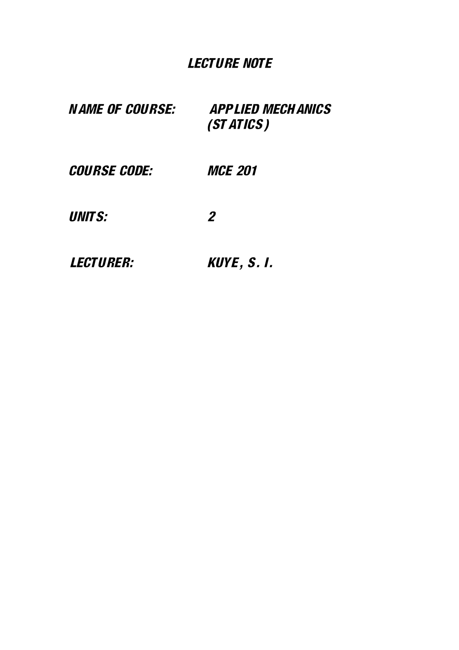# LECTURE NOTE

| <i><b>NAME OF COURSE:</b></i> | <i><b>APPLIED MECH ANICS</b></i><br>(ST ATICS) |
|-------------------------------|------------------------------------------------|
| <b>COURSE CODE:</b>           | <i>MCE 201</i>                                 |
| <b>UNITS:</b>                 | $\boldsymbol{\mathcal{P}}$                     |
| <i><b>LECTURER:</b></i>       | KUYE, S.I.                                     |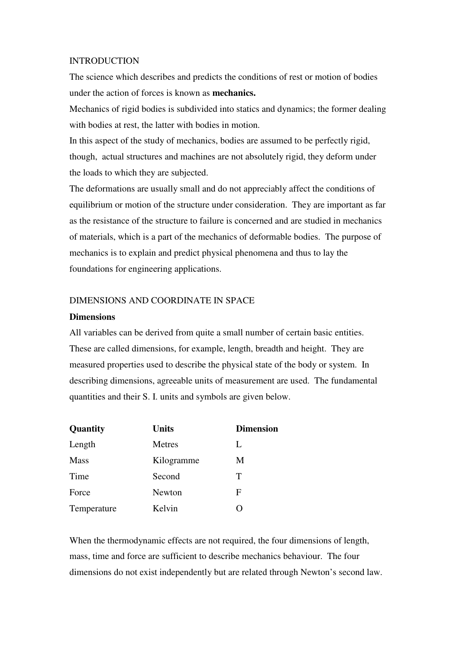#### INTRODUCTION

The science which describes and predicts the conditions of rest or motion of bodies under the action of forces is known as **mechanics.** 

Mechanics of rigid bodies is subdivided into statics and dynamics; the former dealing with bodies at rest, the latter with bodies in motion.

In this aspect of the study of mechanics, bodies are assumed to be perfectly rigid, though, actual structures and machines are not absolutely rigid, they deform under the loads to which they are subjected.

The deformations are usually small and do not appreciably affect the conditions of equilibrium or motion of the structure under consideration. They are important as far as the resistance of the structure to failure is concerned and are studied in mechanics of materials, which is a part of the mechanics of deformable bodies. The purpose of mechanics is to explain and predict physical phenomena and thus to lay the foundations for engineering applications.

## DIMENSIONS AND COORDINATE IN SPACE

#### **Dimensions**

All variables can be derived from quite a small number of certain basic entities. These are called dimensions, for example, length, breadth and height. They are measured properties used to describe the physical state of the body or system. In describing dimensions, agreeable units of measurement are used. The fundamental quantities and their S. I. units and symbols are given below.

| Quantity    | <b>Units</b> | <b>Dimension</b> |
|-------------|--------------|------------------|
| Length      | Metres       | L                |
| <b>Mass</b> | Kilogramme   | M                |
| Time        | Second       | Т                |
| Force       | Newton       | F                |
| Temperature | Kelvin       | $\mathcal{L}$    |

When the thermodynamic effects are not required, the four dimensions of length, mass, time and force are sufficient to describe mechanics behaviour. The four dimensions do not exist independently but are related through Newton's second law.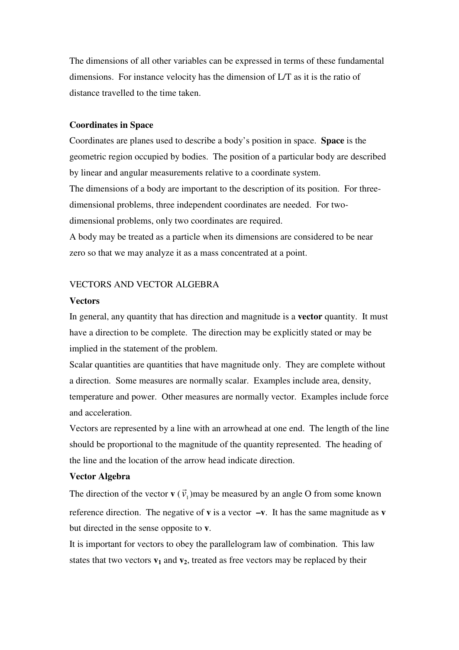The dimensions of all other variables can be expressed in terms of these fundamental dimensions. For instance velocity has the dimension of L/T as it is the ratio of distance travelled to the time taken.

#### **Coordinates in Space**

Coordinates are planes used to describe a body's position in space. **Space** is the geometric region occupied by bodies. The position of a particular body are described by linear and angular measurements relative to a coordinate system. The dimensions of a body are important to the description of its position. For threedimensional problems, three independent coordinates are needed. For twodimensional problems, only two coordinates are required.

A body may be treated as a particle when its dimensions are considered to be near zero so that we may analyze it as a mass concentrated at a point.

## VECTORS AND VECTOR ALGEBRA

#### **Vectors**

In general, any quantity that has direction and magnitude is a **vector** quantity. It must have a direction to be complete. The direction may be explicitly stated or may be implied in the statement of the problem.

Scalar quantities are quantities that have magnitude only. They are complete without a direction. Some measures are normally scalar. Examples include area, density, temperature and power. Other measures are normally vector. Examples include force and acceleration.

Vectors are represented by a line with an arrowhead at one end. The length of the line should be proportional to the magnitude of the quantity represented. The heading of the line and the location of the arrow head indicate direction.

#### **Vector Algebra**

The direction of the vector **v** ( $\vec{v}_1$ )  $\rightarrow$ )may be measured by an angle O from some known reference direction. The negative of **v** is a vector **–v**. It has the same magnitude as **v** but directed in the sense opposite to **v**.

It is important for vectors to obey the parallelogram law of combination. This law states that two vectors  $v_1$  and  $v_2$ , treated as free vectors may be replaced by their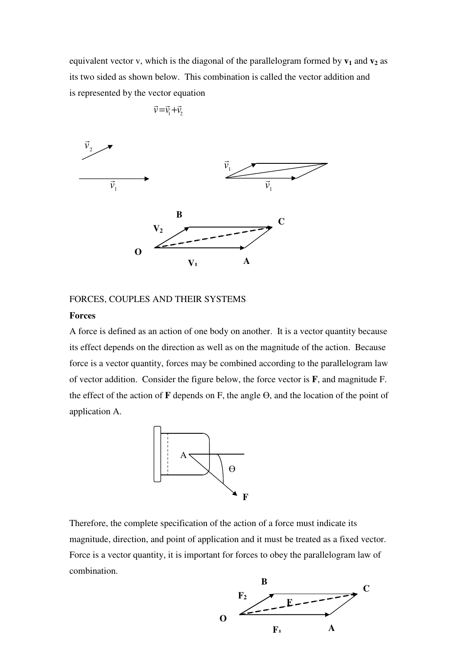equivalent vector v, which is the diagonal of the parallelogram formed by **v1** and **v2** as its two sided as shown below. This combination is called the vector addition and is represented by the vector equation

$$
\vec{v} = \vec{v}_1 + \vec{v}_2
$$



#### FORCES, COUPLES AND THEIR SYSTEMS

#### **Forces**

A force is defined as an action of one body on another. It is a vector quantity because its effect depends on the direction as well as on the magnitude of the action. Because force is a vector quantity, forces may be combined according to the parallelogram law of vector addition. Consider the figure below, the force vector is **F**, and magnitude F. the effect of the action of **F** depends on F, the angle ϴ, and the location of the point of application A.



Therefore, the complete specification of the action of a force must indicate its magnitude, direction, and point of application and it must be treated as a fixed vector. Force is a vector quantity, it is important for forces to obey the parallelogram law of combination.

**O** 

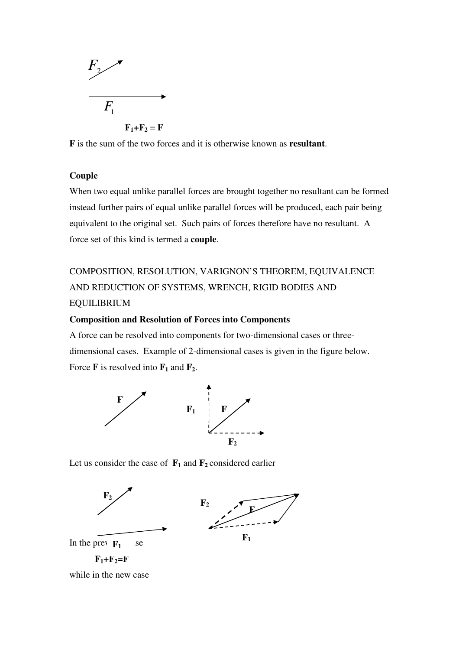

**F** is the sum of the two forces and it is otherwise known as **resultant**.

## **Couple**

When two equal unlike parallel forces are brought together no resultant can be formed instead further pairs of equal unlike parallel forces will be produced, each pair being equivalent to the original set. Such pairs of forces therefore have no resultant. A force set of this kind is termed a **couple**.

## COMPOSITION, RESOLUTION, VARIGNON'S THEOREM, EQUIVALENCE AND REDUCTION OF SYSTEMS, WRENCH, RIGID BODIES AND EQUILIBRIUM

## **Composition and Resolution of Forces into Components**

A force can be resolved into components for two-dimensional cases or threedimensional cases. Example of 2-dimensional cases is given in the figure below. Force **F** is resolved into  $\mathbf{F}_1$  and  $\mathbf{F}_2$ .



Let us consider the case of  $\mathbf{F}_1$  and  $\mathbf{F}_2$  considered earlier





In the previous  $F_1$  as e  $F_1 + F_2 = F$ 

while in the new case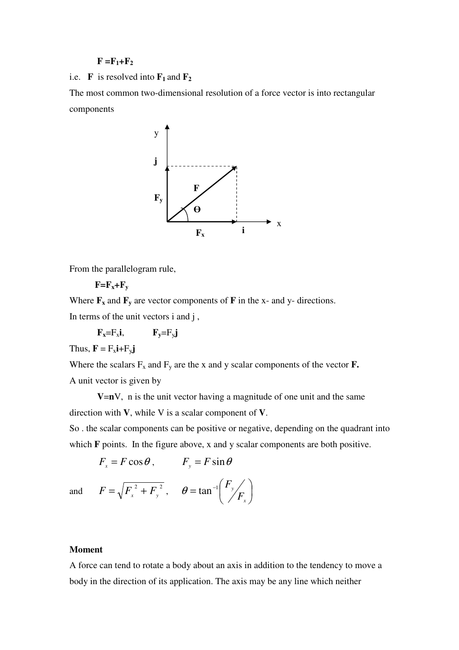#### $F = F_1 + F_2$

i.e. **F** is resolved into  $\mathbf{F}_1$  and  $\mathbf{F}_2$ 

The most common two-dimensional resolution of a force vector is into rectangular components



From the parallelogram rule,

 $F = F_x + F_y$ 

Where  $\mathbf{F}_x$  and  $\mathbf{F}_y$  are vector components of **F** in the x- and y- directions. In terms of the unit vectors i and j ,

 $\mathbf{F}_{\mathbf{x}} = \mathbf{F}_{\mathbf{x}} \mathbf{i}$ ,  $\mathbf{F}_{\mathbf{y}} = \mathbf{F}_{\mathbf{y}} \mathbf{j}$ 

Thus,  $\mathbf{F} = F_x \mathbf{i} + F_y \mathbf{j}$ 

Where the scalars  $F_x$  and  $F_y$  are the x and y scalar components of the vector  $\mathbf{F}_x$ . A unit vector is given by

**V=** $n$ V, n is the unit vector having a magnitude of one unit and the same direction with **V**, while V is a scalar component of **V**.

> $\mathsf{I}$ l

 $_4$   $\int$   $F$ 

 $=$  tan<sup>-1</sup>

 $\theta$  = tan

So . the scalar components can be positive or negative, depending on the quadrant into which **F** points. In the figure above, x and y scalar components are both positive.

> J  $\backslash$

*x y F*

 $F_x = F \cos \theta$ ,  $F_y = F \sin \theta$ 

and  $F = \sqrt{F_x^2 + F_y^2}$ ,  $\theta = \tan^{-1} \left| \frac{F_y}{F_x} \right|$ 

#### **Moment**

A force can tend to rotate a body about an axis in addition to the tendency to move a body in the direction of its application. The axis may be any line which neither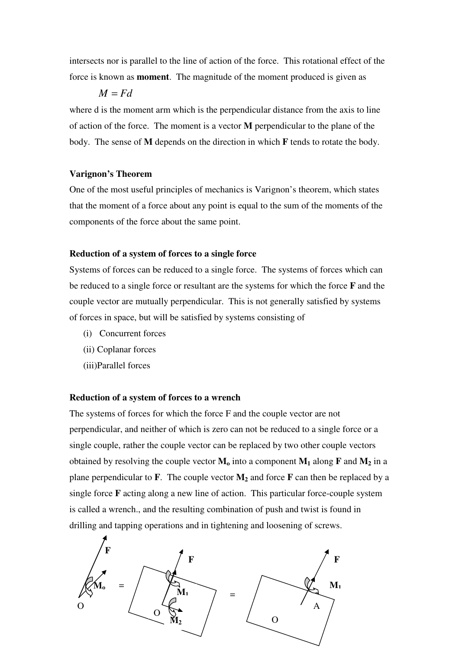intersects nor is parallel to the line of action of the force. This rotational effect of the force is known as **moment**. The magnitude of the moment produced is given as

 $M = Fd$ 

where d is the moment arm which is the perpendicular distance from the axis to line of action of the force. The moment is a vector **M** perpendicular to the plane of the body. The sense of **M** depends on the direction in which **F** tends to rotate the body.

#### **Varignon's Theorem**

One of the most useful principles of mechanics is Varignon's theorem, which states that the moment of a force about any point is equal to the sum of the moments of the components of the force about the same point.

#### **Reduction of a system of forces to a single force**

Systems of forces can be reduced to a single force. The systems of forces which can be reduced to a single force or resultant are the systems for which the force **F** and the couple vector are mutually perpendicular. This is not generally satisfied by systems of forces in space, but will be satisfied by systems consisting of

- (i) Concurrent forces
- (ii) Coplanar forces
- (iii)Parallel forces

#### **Reduction of a system of forces to a wrench**

The systems of forces for which the force F and the couple vector are not perpendicular, and neither of which is zero can not be reduced to a single force or a single couple, rather the couple vector can be replaced by two other couple vectors obtained by resolving the couple vector  $M_0$  into a component  $M_1$  along  $\mathbf{F}$  and  $M_2$  in a plane perpendicular to **F**. The couple vector **M2** and force **F** can then be replaced by a single force **F** acting along a new line of action. This particular force-couple system is called a wrench., and the resulting combination of push and twist is found in drilling and tapping operations and in tightening and loosening of screws.

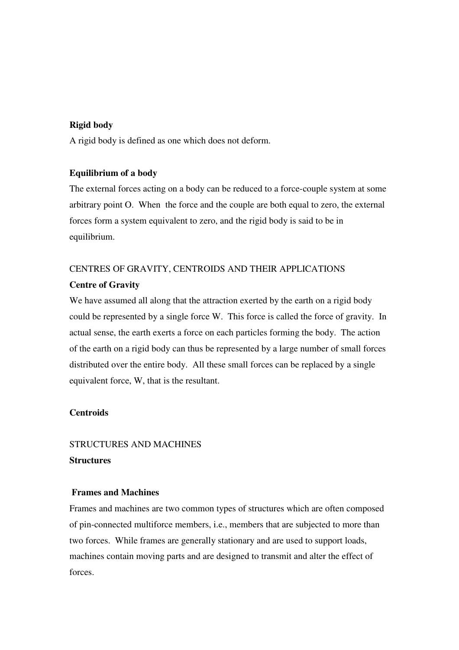## **Rigid body**

A rigid body is defined as one which does not deform.

## **Equilibrium of a body**

The external forces acting on a body can be reduced to a force-couple system at some arbitrary point O. When the force and the couple are both equal to zero, the external forces form a system equivalent to zero, and the rigid body is said to be in equilibrium.

## CENTRES OF GRAVITY, CENTROIDS AND THEIR APPLICATIONS **Centre of Gravity**

We have assumed all along that the attraction exerted by the earth on a rigid body could be represented by a single force W. This force is called the force of gravity. In actual sense, the earth exerts a force on each particles forming the body. The action of the earth on a rigid body can thus be represented by a large number of small forces distributed over the entire body. All these small forces can be replaced by a single equivalent force, W, that is the resultant.

## **Centroids**

## STRUCTURES AND MACHINES **Structures**

## **Frames and Machines**

Frames and machines are two common types of structures which are often composed of pin-connected multiforce members, i.e., members that are subjected to more than two forces. While frames are generally stationary and are used to support loads, machines contain moving parts and are designed to transmit and alter the effect of forces.